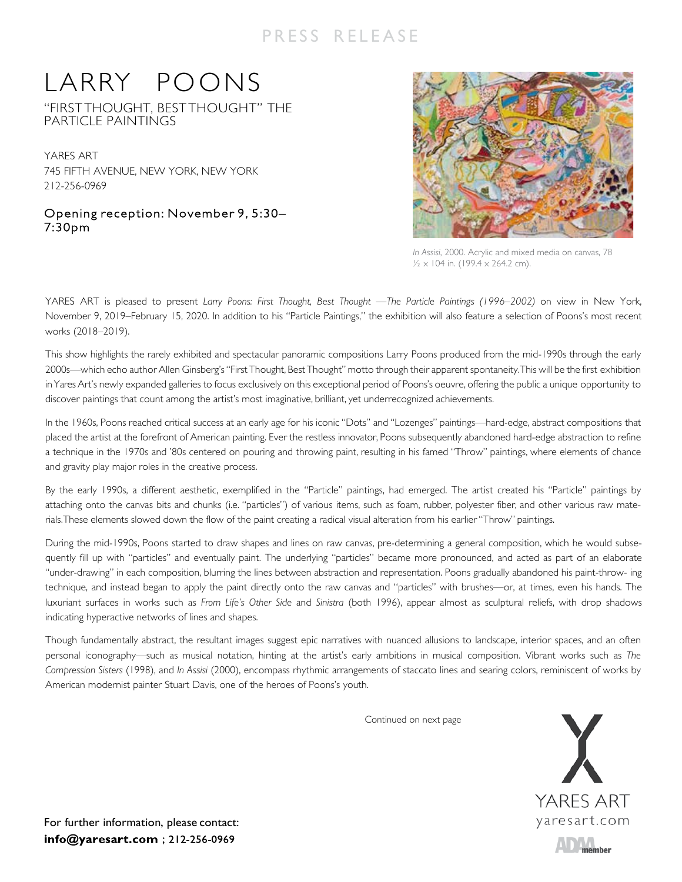## PRESS RELEASE

## LARRY POONS

"FIRSTTHOUGHT, BESTTHOUGHT" THE PARTICLE PAINTINGS

YARES ART 745 FIFTH AVENUE, NEW YORK, NEW YORK 212-256-0969

Opening reception: November 9, 5:30– 7:30pm



*In Assisi*, 2000. Acrylic and mixed media on canvas, 78  $\frac{1}{2} \times 104$  in. (199.4  $\times$  264.2 cm).

YARES ART is pleased to present *Larry Poons: First Thought, Best Thought* —The Particle Paintings (1996–2002) on view in New York, November 9, 2019–February 15, 2020. In addition to his "Particle Paintings," the exhibition will also feature a selection of Poons's most recent works (2018–2019).

This show highlights the rarely exhibited and spectacular panoramic compositions Larry Poons produced from the mid-1990s through the early 2000s—which echo author Allen Ginsberg's"First Thought, Best Thought" motto through their apparent spontaneity.This will be the first exhibition in Yares Art's newly expanded galleries to focus exclusively on this exceptional period of Poons's oeuvre, offering the public a unique opportunity to discover paintings that count among the artist's most imaginative, brilliant, yet underrecognized achievements.

In the 1960s, Poons reached critical success at an early age for his iconic "Dots" and "Lozenges" paintings—hard-edge, abstract compositions that placed the artist at the forefront of American painting. Ever the restless innovator, Poons subsequently abandoned hard-edge abstraction to refine a technique in the 1970s and '80s centered on pouring and throwing paint, resulting in his famed "Throw" paintings, where elements of chance and gravity play major roles in the creative process.

By the early 1990s, a different aesthetic, exemplified in the "Particle" paintings, had emerged. The artist created his "Particle" paintings by attaching onto the canvas bits and chunks (i.e. "particles") of various items, such as foam, rubber, polyester fiber, and other various raw materials.These elements slowed down the flow of the paint creating a radical visual alteration from his earlier "Throw" paintings.

During the mid-1990s, Poons started to draw shapes and lines on raw canvas, pre-determining a general composition, which he would subsequently fill up with "particles" and eventually paint. The underlying "particles" became more pronounced, and acted as part of an elaborate "under-drawing" in each composition, blurring the lines between abstraction and representation. Poons gradually abandoned his paint-throw- ing technique, and instead began to apply the paint directly onto the raw canvas and "particles" with brushes—or, at times, even his hands. The luxuriant surfaces in works such as *From Life's Other Side* and *Sinistra* (both 1996), appear almost as sculptural reliefs, with drop shadows indicating hyperactive networks of lines and shapes.

Though fundamentally abstract, the resultant images suggest epic narratives with nuanced allusions to landscape, interior spaces, and an often personal iconography—such as musical notation, hinting at the artist's early ambitions in musical composition. Vibrant works such as *The Compression Sisters* (1998), and *In Assisi* (2000), encompass rhythmic arrangements of staccato lines and searing colors, reminiscent of works by American modernist painter Stuart Davis, one of the heroes of Poons's youth.

Continued on next page



For further information, please contact: info@yaresart.com; 212-256-0969